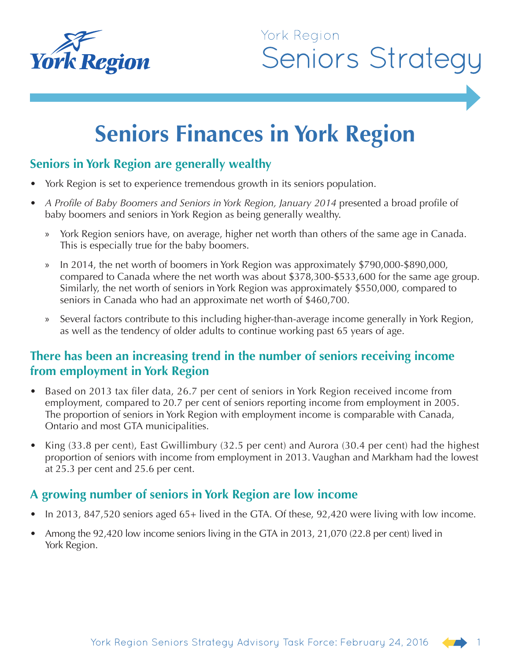

# **Seniors Finances in York Region**

# **Seniors in York Region are generally wealthy**

- York Region is set to experience tremendous growth in its seniors population.
- *A Profile of Baby Boomers and Seniors in York Region, January 2014* presented a broad profile of baby boomers and seniors in York Region as being generally wealthy.
	- » York Region seniors have, on average, higher net worth than others of the same age in Canada. This is especially true for the baby boomers.
	- » In 2014, the net worth of boomers in York Region was approximately \$790,000-\$890,000, compared to Canada where the net worth was about \$378,300-\$533,600 for the same age group. Similarly, the net worth of seniors in York Region was approximately \$550,000, compared to seniors in Canada who had an approximate net worth of \$460,700.
	- » Several factors contribute to this including higher-than-average income generally in York Region, as well as the tendency of older adults to continue working past 65 years of age.

## **There has been an increasing trend in the number of seniors receiving income from employment in York Region**

- Based on 2013 tax filer data, 26.7 per cent of seniors in York Region received income from employment, compared to 20.7 per cent of seniors reporting income from employment in 2005. The proportion of seniors in York Region with employment income is comparable with Canada, Ontario and most GTA municipalities.
- King (33.8 per cent), East Gwillimbury (32.5 per cent) and Aurora (30.4 per cent) had the highest proportion of seniors with income from employment in 2013. Vaughan and Markham had the lowest at 25.3 per cent and 25.6 per cent.

#### **A growing number of seniors in York Region are low income**

- In 2013, 847,520 seniors aged 65+ lived in the GTA. Of these, 92,420 were living with low income.
- Among the 92,420 low income seniors living in the GTA in 2013, 21,070 (22.8 per cent) lived in York Region.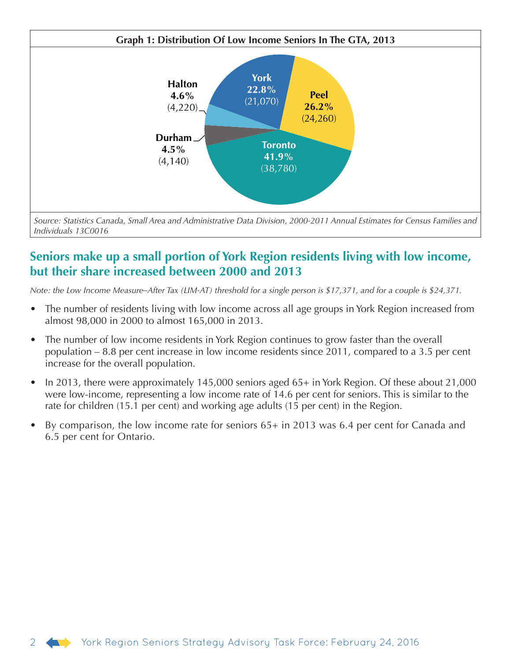

*Source: Statistics Canada, Small Area and Administrative Data Division, 2000-2011 Annual Estimates for Census Families and Individuals 13C0016* 

# **Seniors make up a small portion of York Region residents living with low income, but their share increased between 2000 and 2013**

*Note: the Low Income Measure–After Tax (LIM-AT) threshold for a single person is \$17,371, and for a couple is \$24,371.*

- The number of residents living with low income across all age groups in York Region increased from almost 98,000 in 2000 to almost 165,000 in 2013.
- The number of low income residents in York Region continues to grow faster than the overall population – 8.8 per cent increase in low income residents since 2011, compared to a 3.5 per cent increase for the overall population.
- In 2013, there were approximately 145,000 seniors aged 65+ in York Region. Of these about 21,000 were low-income, representing a low income rate of 14.6 per cent for seniors. This is similar to the rate for children (15.1 per cent) and working age adults (15 per cent) in the Region.
- By comparison, the low income rate for seniors 65+ in 2013 was 6.4 per cent for Canada and 6.5 per cent for Ontario.

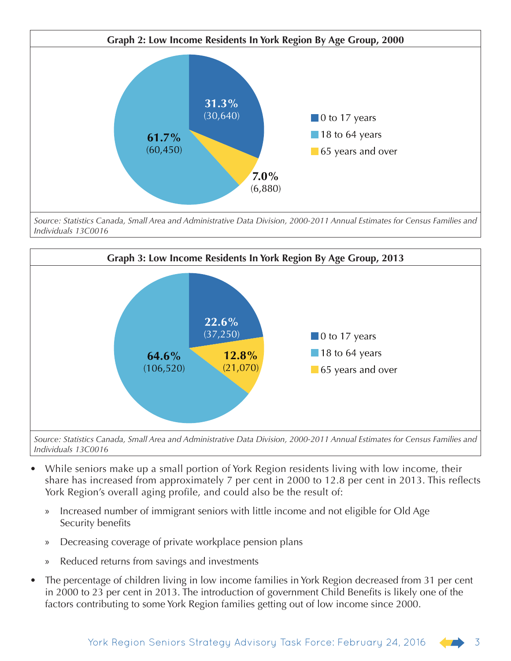

*Source: Statistics Canada, Small Area and Administrative Data Division, 2000-2011 Annual Estimates for Census Families and Individuals 13C0016*



*Source: Statistics Canada, Small Area and Administrative Data Division, 2000-2011 Annual Estimates for Census Families and Individuals 13C0016*

- While seniors make up a small portion of York Region residents living with low income, their share has increased from approximately 7 per cent in 2000 to 12.8 per cent in 2013. This reflects York Region's overall aging profile, and could also be the result of:
	- » Increased number of immigrant seniors with little income and not eligible for Old Age Security benefits
	- » Decreasing coverage of private workplace pension plans
	- Reduced returns from savings and investments
- The percentage of children living in low income families in York Region decreased from 31 per cent in 2000 to 23 per cent in 2013. The introduction of government Child Benefits is likely one of the factors contributing to some York Region families getting out of low income since 2000.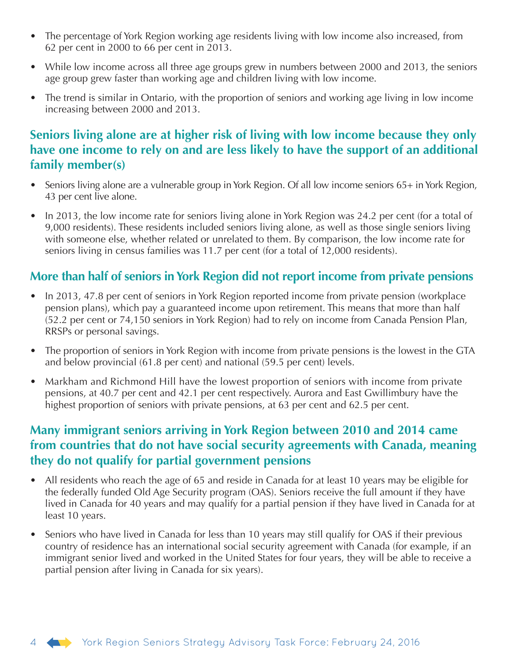- The percentage of York Region working age residents living with low income also increased, from 62 per cent in 2000 to 66 per cent in 2013.
- While low income across all three age groups grew in numbers between 2000 and 2013, the seniors age group grew faster than working age and children living with low income.
- The trend is similar in Ontario, with the proportion of seniors and working age living in low income increasing between 2000 and 2013.

# **Seniors living alone are at higher risk of living with low income because they only have one income to rely on and are less likely to have the support of an additional family member(s)**

- Seniors living alone are a vulnerable group in York Region. Of all low income seniors 65+ in York Region, 43 per cent live alone.
- In 2013, the low income rate for seniors living alone in York Region was 24.2 per cent (for a total of 9,000 residents). These residents included seniors living alone, as well as those single seniors living with someone else, whether related or unrelated to them. By comparison, the low income rate for seniors living in census families was 11.7 per cent (for a total of 12,000 residents).

# **More than half of seniors in York Region did not report income from private pensions**

- In 2013, 47.8 per cent of seniors in York Region reported income from private pension (workplace pension plans), which pay a guaranteed income upon retirement. This means that more than half (52.2 per cent or 74,150 seniors in York Region) had to rely on income from Canada Pension Plan, RRSPs or personal savings.
- The proportion of seniors in York Region with income from private pensions is the lowest in the GTA and below provincial (61.8 per cent) and national (59.5 per cent) levels.
- Markham and Richmond Hill have the lowest proportion of seniors with income from private pensions, at 40.7 per cent and 42.1 per cent respectively. Aurora and East Gwillimbury have the highest proportion of seniors with private pensions, at 63 per cent and 62.5 per cent.

## **Many immigrant seniors arriving in York Region between 2010 and 2014 came from countries that do not have social security agreements with Canada, meaning they do not qualify for partial government pensions**

- All residents who reach the age of 65 and reside in Canada for at least 10 years may be eligible for the federally funded Old Age Security program (OAS). Seniors receive the full amount if they have lived in Canada for 40 years and may qualify for a partial pension if they have lived in Canada for at least 10 years.
- Seniors who have lived in Canada for less than 10 years may still qualify for OAS if their previous country of residence has an international social security agreement with Canada (for example, if an immigrant senior lived and worked in the United States for four years, they will be able to receive a partial pension after living in Canada for six years).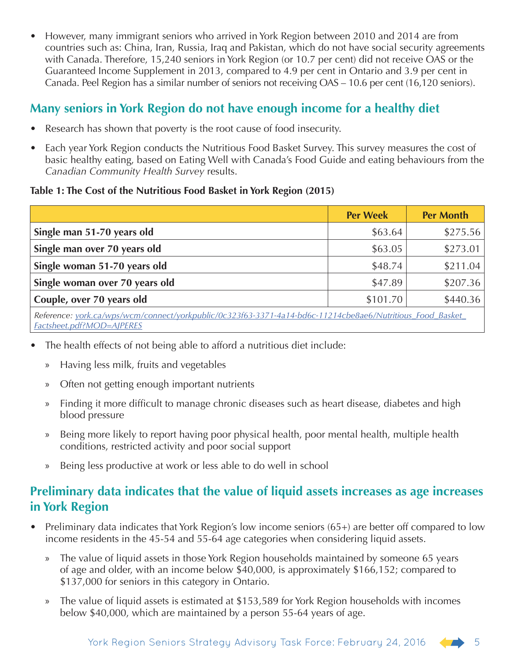• However, many immigrant seniors who arrived in York Region between 2010 and 2014 are from countries such as: China, Iran, Russia, Iraq and Pakistan, which do not have social security agreements with Canada. Therefore, 15,240 seniors in York Region (or 10.7 per cent) did not receive OAS or the Guaranteed Income Supplement in 2013, compared to 4.9 per cent in Ontario and 3.9 per cent in Canada. Peel Region has a similar number of seniors not receiving OAS – 10.6 per cent (16,120 seniors).

# **Many seniors in York Region do not have enough income for a healthy diet**

- Research has shown that poverty is the root cause of food insecurity.
- Each year York Region conducts the Nutritious Food Basket Survey. This survey measures the cost of basic healthy eating, based on Eating Well with Canada's Food Guide and eating behaviours from the *Canadian Community Health Survey* results.

#### **Table 1: The Cost of the Nutritious Food Basket in York Region (2015)**

|                                                                                                                                         | <b>Per Week</b> | <b>Per Month</b> |  |  |
|-----------------------------------------------------------------------------------------------------------------------------------------|-----------------|------------------|--|--|
| Single man 51-70 years old                                                                                                              | \$63.64         | \$275.56         |  |  |
| Single man over 70 years old                                                                                                            | \$63.05         | \$273.01         |  |  |
| Single woman 51-70 years old                                                                                                            | \$48.74         | \$211.04         |  |  |
| Single woman over 70 years old                                                                                                          | \$47.89         | \$207.36         |  |  |
| Couple, over 70 years old                                                                                                               | \$101.70        | \$440.36         |  |  |
| Reference: york.ca/wps/wcm/connect/yorkpublic/0c323f63-3371-4a14-bd6c-11214cbe8ae6/Nutritious_Food_Basket_<br>Factsheet.pdf?MOD=AJPERES |                 |                  |  |  |

- The health effects of not being able to afford a nutritious diet include:
	- » Having less milk, fruits and vegetables
	- » Often not getting enough important nutrients
	- » Finding it more difficult to manage chronic diseases such as heart disease, diabetes and high blood pressure
	- » Being more likely to report having poor physical health, poor mental health, multiple health conditions, restricted activity and poor social support
	- » Being less productive at work or less able to do well in school

# **Preliminary data indicates that the value of liquid assets increases as age increases in York Region**

- Preliminary data indicates that York Region's low income seniors (65+) are better off compared to low income residents in the 45-54 and 55-64 age categories when considering liquid assets.
	- » The value of liquid assets in those York Region households maintained by someone 65 years of age and older, with an income below \$40,000, is approximately \$166,152; compared to \$137,000 for seniors in this category in Ontario.
	- » The value of liquid assets is estimated at \$153,589 for York Region households with incomes below \$40,000, which are maintained by a person 55-64 years of age.